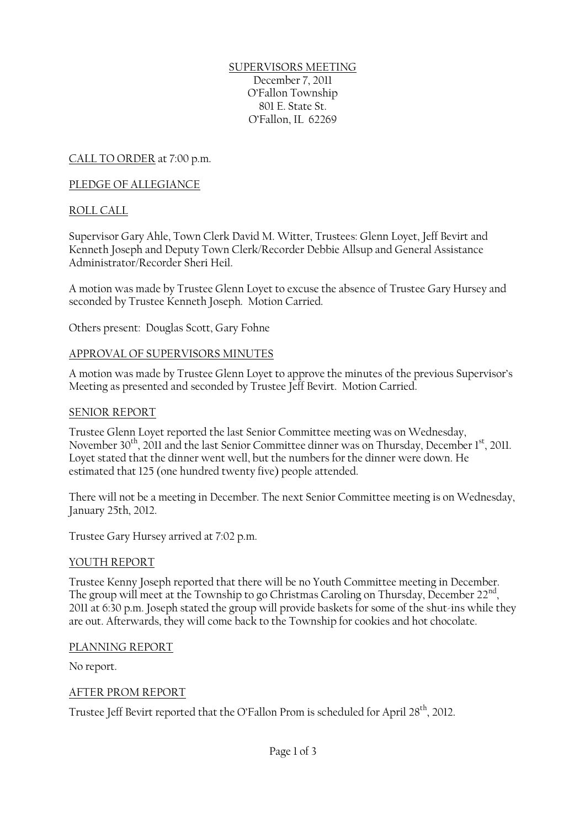SUPERVISORS MEETING December 7, 2011 O'Fallon Township 801 E. State St. O'Fallon, IL 62269

CALL TO ORDER at 7:00 p.m.

## PLEDGE OF ALLEGIANCE

## ROLL CALL

Supervisor Gary Ahle, Town Clerk David M. Witter, Trustees: Glenn Loyet, Jeff Bevirt and Kenneth Joseph and Deputy Town Clerk/Recorder Debbie Allsup and General Assistance Administrator/Recorder Sheri Heil.

A motion was made by Trustee Glenn Loyet to excuse the absence of Trustee Gary Hursey and seconded by Trustee Kenneth Joseph. Motion Carried.

Others present: Douglas Scott, Gary Fohne

## APPROVAL OF SUPERVISORS MINUTES

A motion was made by Trustee Glenn Loyet to approve the minutes of the previous Supervisor's Meeting as presented and seconded by Trustee Jeff Bevirt. Motion Carried.

### SENIOR REPORT

Trustee Glenn Loyet reported the last Senior Committee meeting was on Wednesday, November 30<sup>th</sup>, 2011 and the last Senior Committee dinner was on Thursday, December 1<sup>st</sup>, 2011. Loyet stated that the dinner went well, but the numbers for the dinner were down. He estimated that 125 (one hundred twenty five) people attended.

There will not be a meeting in December. The next Senior Committee meeting is on Wednesday, January 25th, 2012.

Trustee Gary Hursey arrived at 7:02 p.m.

### YOUTH REPORT

Trustee Kenny Joseph reported that there will be no Youth Committee meeting in December. The group will meet at the Township to go Christmas Caroling on Thursday, December 22<sup>nd</sup>, 2011 at 6:30 p.m. Joseph stated the group will provide baskets for some of the shut-ins while they are out. Afterwards, they will come back to the Township for cookies and hot chocolate.

### PLANNING REPORT

No report.

### AFTER PROM REPORT

Trustee Jeff Bevirt reported that the O'Fallon Prom is scheduled for April 28th, 2012.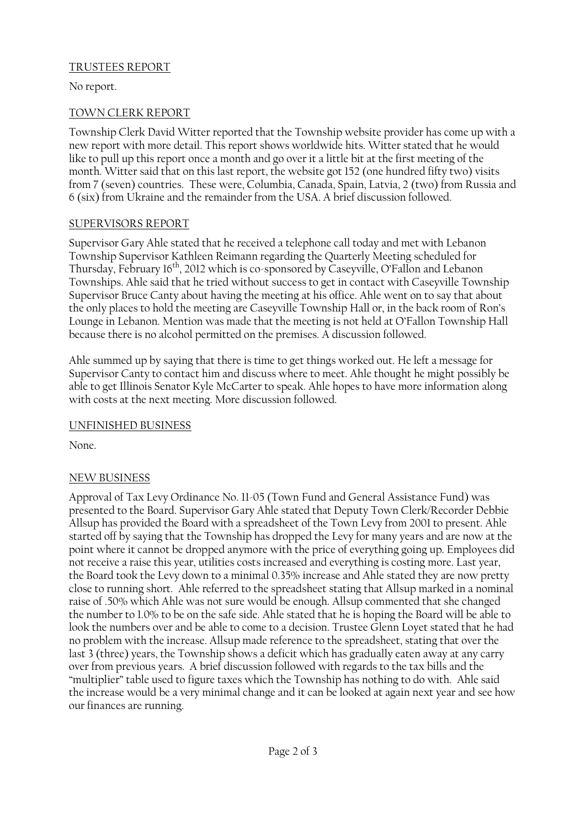# TRUSTEES REPORT

No report.

# TOWN CLERK REPORT

Township Clerk David Witter reported that the Township website provider has come up with a new report with more detail. This report shows worldwide hits. Witter stated that he would like to pull up this report once a month and go over it a little bit at the first meeting of the month. Witter said that on this last report, the website got 152 (one hundred fifty two) visits from 7 (seven) countries. These were, Columbia, Canada, Spain, Latvia, 2 (two) from Russia and 6 (six) from Ukraine and the remainder from the USA. A brief discussion followed.

# SUPERVISORS REPORT

Supervisor Gary Ahle stated that he received a telephone call today and met with Lebanon Township Supervisor Kathleen Reimann regarding the Quarterly Meeting scheduled for Thursday, February 16<sup>th</sup>, 2012 which is co-sponsored by Caseyville, O'Fallon and Lebanon Townships. Ahle said that he tried without success to get in contact with Caseyville Township Supervisor Bruce Canty about having the meeting at his office. Ahle went on to say that about the only places to hold the meeting are Caseyville Township Hall or, in the back room of Ron's Lounge in Lebanon. Mention was made that the meeting is not held at O'Fallon Township Hall because there is no alcohol permitted on the premises. A discussion followed.

Ahle summed up by saying that there is time to get things worked out. He left a message for Supervisor Canty to contact him and discuss where to meet. Ahle thought he might possibly be able to get Illinois Senator Kyle McCarter to speak. Ahle hopes to have more information along with costs at the next meeting. More discussion followed.

# UNFINISHED BUSINESS

None.

# NEW BUSINESS

Approval of Tax Levy Ordinance No. 11-05 (Town Fund and General Assistance Fund) was presented to the Board. Supervisor Gary Ahle stated that Deputy Town Clerk/Recorder Debbie Allsup has provided the Board with a spreadsheet of the Town Levy from 2001 to present. Ahle started off by saying that the Township has dropped the Levy for many years and are now at the point where it cannot be dropped anymore with the price of everything going up. Employees did not receive a raise this year, utilities costs increased and everything is costing more. Last year, the Board took the Levy down to a minimal 0.35% increase and Ahle stated they are now pretty close to running short. Ahle referred to the spreadsheet stating that Allsup marked in a nominal raise of .50% which Ahle was not sure would be enough. Allsup commented that she changed the number to 1.0% to be on the safe side. Ahle stated that he is hoping the Board will be able to look the numbers over and be able to come to a decision. Trustee Glenn Loyet stated that he had no problem with the increase. Allsup made reference to the spreadsheet, stating that over the last 3 (three) years, the Township shows a deficit which has gradually eaten away at any carry over from previous years. A brief discussion followed with regards to the tax bills and the "multiplier" table used to figure taxes which the Township has nothing to do with. Ahle said the increase would be a very minimal change and it can be looked at again next year and see how our finances are running.